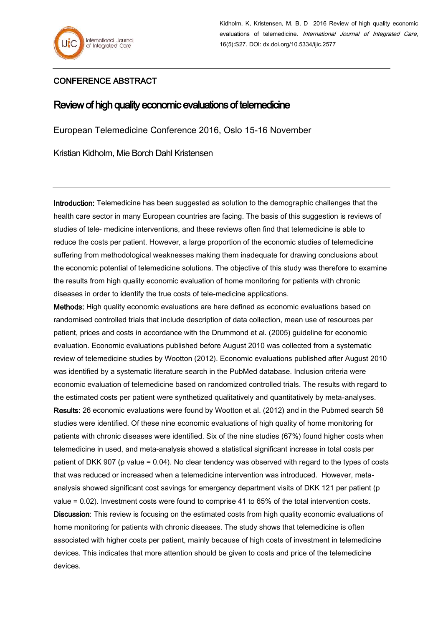

Kidholm, K, Kristensen, M, B, D 2016 Review of high quality economic evaluations of telemedicine. International Journal of Integrated Care, 16(5):S27. DOI: dx.doi.org/10.5334/ijic.2577

## CONFERENCE ABSTRACT

## Review of high quality economic evaluations of telemedicine

European Telemedicine Conference 2016, Oslo 15-16 November

Kristian Kidholm, Mie Borch Dahl Kristensen

Introduction: Telemedicine has been suggested as solution to the demographic challenges that the health care sector in many European countries are facing. The basis of this suggestion is reviews of studies of tele- medicine interventions, and these reviews often find that telemedicine is able to reduce the costs per patient. However, a large proportion of the economic studies of telemedicine suffering from methodological weaknesses making them inadequate for drawing conclusions about the economic potential of telemedicine solutions. The objective of this study was therefore to examine the results from high quality economic evaluation of home monitoring for patients with chronic diseases in order to identify the true costs of tele-medicine applications.

Methods: High quality economic evaluations are here defined as economic evaluations based on randomised controlled trials that include description of data collection, mean use of resources per patient, prices and costs in accordance with the Drummond et al. (2005) guideline for economic evaluation. Economic evaluations published before August 2010 was collected from a systematic review of telemedicine studies by Wootton (2012). Economic evaluations published after August 2010 was identified by a systematic literature search in the PubMed database. Inclusion criteria were economic evaluation of telemedicine based on randomized controlled trials. The results with regard to the estimated costs per patient were synthetized qualitatively and quantitatively by meta-analyses.

Results: 26 economic evaluations were found by Wootton et al. (2012) and in the Pubmed search 58 studies were identified. Of these nine economic evaluations of high quality of home monitoring for patients with chronic diseases were identified. Six of the nine studies (67%) found higher costs when telemedicine in used, and meta-analysis showed a statistical significant increase in total costs per patient of DKK 907 (p value = 0.04). No clear tendency was observed with regard to the types of costs that was reduced or increased when a telemedicine intervention was introduced. However, metaanalysis showed significant cost savings for emergency department visits of DKK 121 per patient (p value = 0.02). Investment costs were found to comprise 41 to 65% of the total intervention costs.

Discussion: This review is focusing on the estimated costs from high quality economic evaluations of home monitoring for patients with chronic diseases. The study shows that telemedicine is often associated with higher costs per patient, mainly because of high costs of investment in telemedicine devices. This indicates that more attention should be given to costs and price of the telemedicine devices.